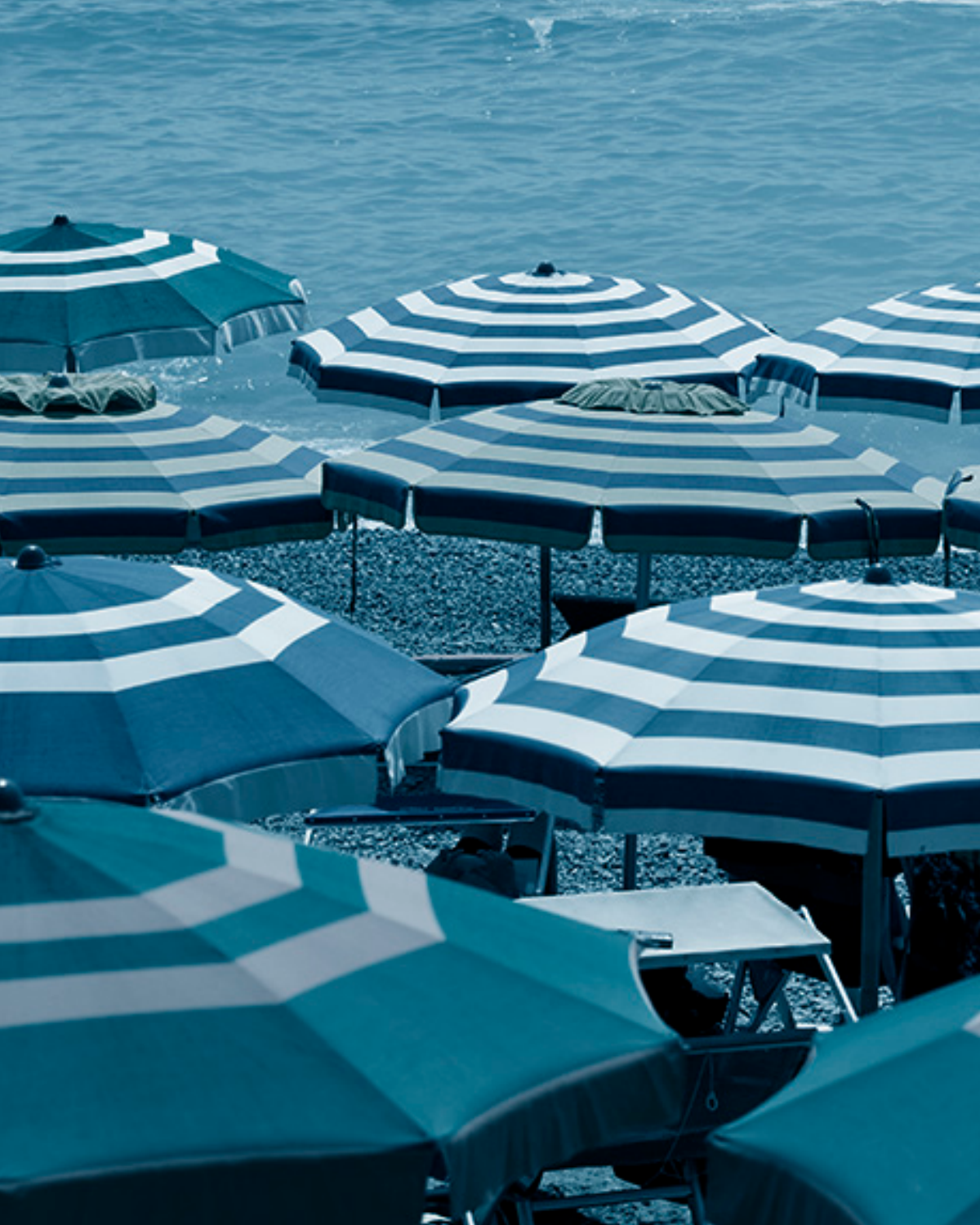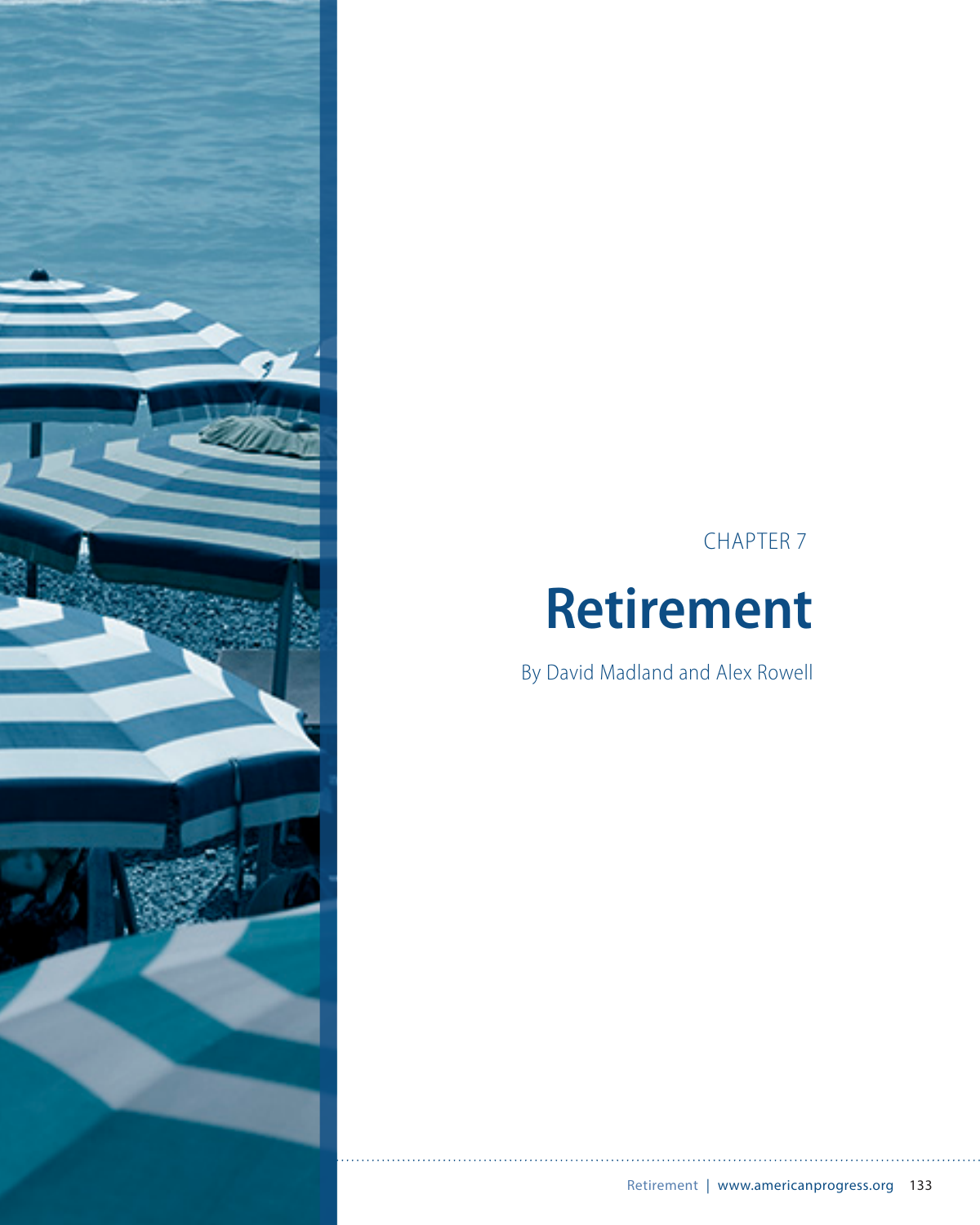

# **Retirement**

By David Madland and Alex Rowell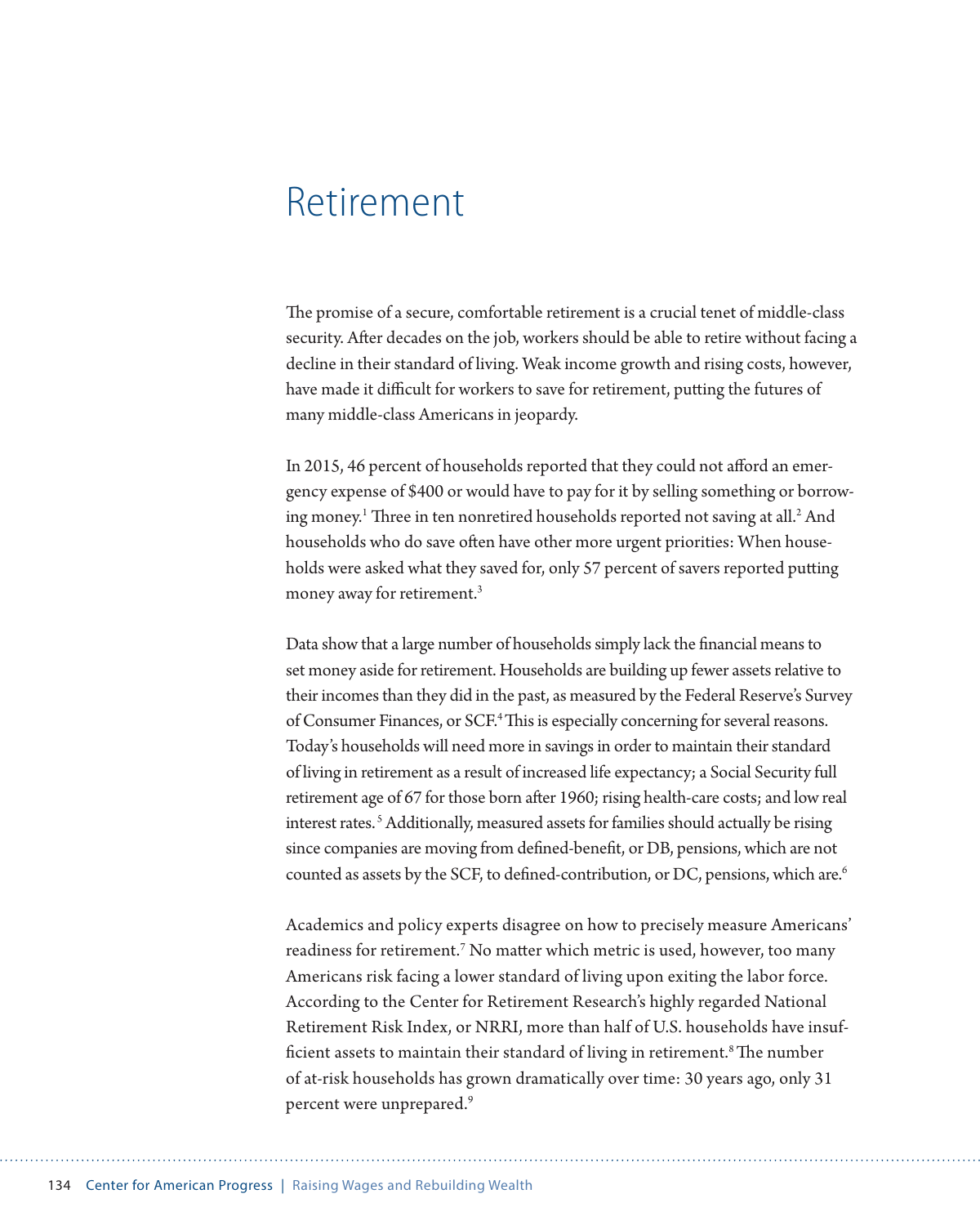# Retirement

The promise of a secure, comfortable retirement is a crucial tenet of middle-class security. After decades on the job, workers should be able to retire without facing a decline in their standard of living. Weak income growth and rising costs, however, have made it difficult for workers to save for retirement, putting the futures of many middle-class Americans in jeopardy.

In 2015, 46 percent of households reported that they could not afford an emergency expense of \$400 or would have to pay for it by selling something or borrowing money.<sup>1</sup> Three in ten nonretired households reported not saving at all.<sup>2</sup> And households who do save often have other more urgent priorities: When households were asked what they saved for, only 57 percent of savers reported putting money away for retirement.<sup>3</sup>

Data show that a large number of households simply lack the financial means to set money aside for retirement. Households are building up fewer assets relative to their incomes than they did in the past, as measured by the Federal Reserve's Survey of Consumer Finances, or SCF.4 This is especially concerning for several reasons. Today's households will need more in savings in order to maintain their standard of living in retirement as a result of increased life expectancy; a Social Security full retirement age of 67 for those born after 1960; rising health-care costs; and low real interest rates. 5 Additionally, measured assets for families should actually be rising since companies are moving from defined-benefit, or DB, pensions, which are not counted as assets by the SCF, to defined-contribution, or DC, pensions, which are.<sup>6</sup>

Academics and policy experts disagree on how to precisely measure Americans' readiness for retirement.7 No matter which metric is used, however, too many Americans risk facing a lower standard of living upon exiting the labor force. According to the Center for Retirement Research's highly regarded National Retirement Risk Index, or NRRI, more than half of U.S. households have insufficient assets to maintain their standard of living in retirement.<sup>8</sup> The number of at-risk households has grown dramatically over time: 30 years ago, only 31 percent were unprepared.9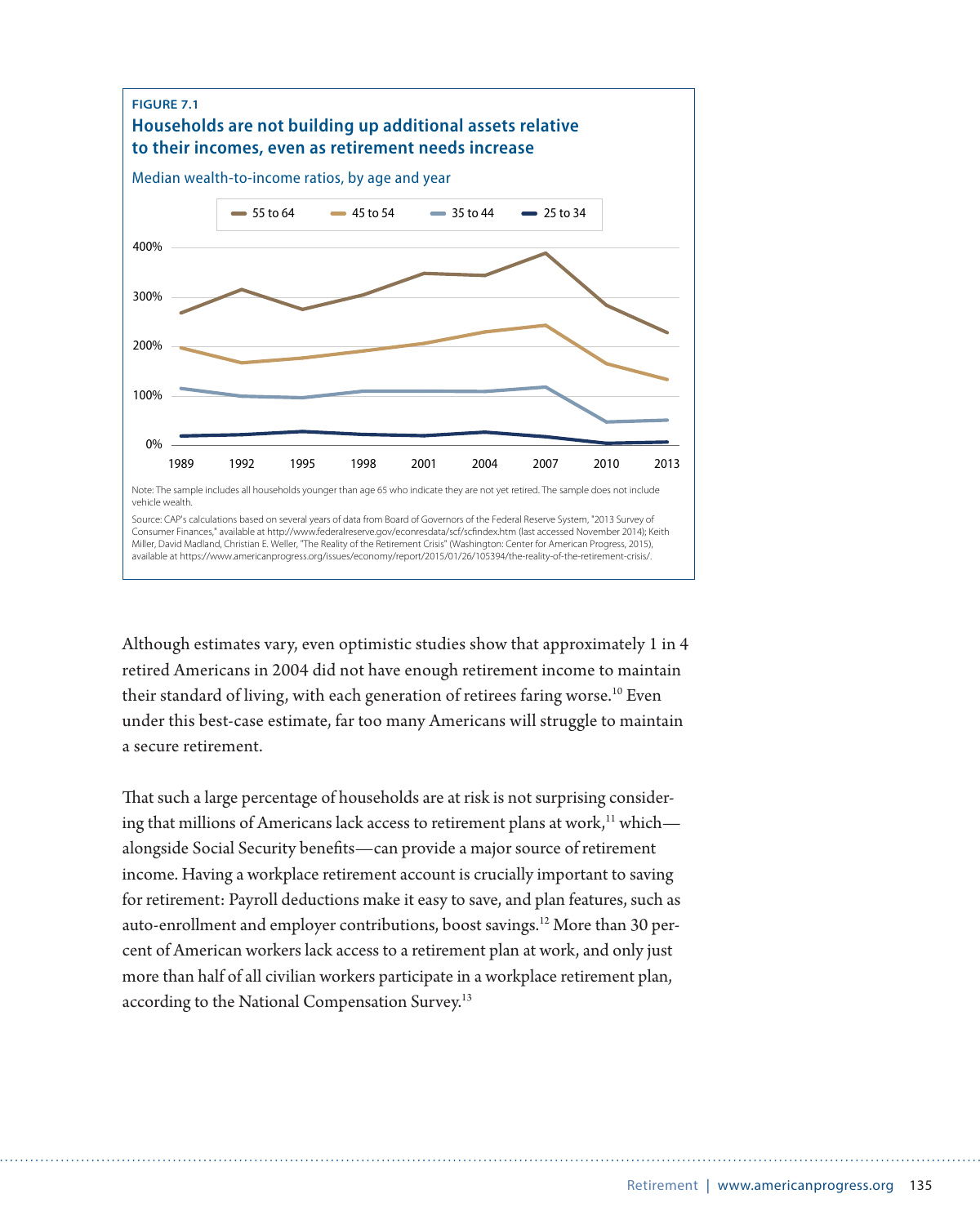

Although estimates vary, even optimistic studies show that approximately 1 in 4 retired Americans in 2004 did not have enough retirement income to maintain their standard of living, with each generation of retirees faring worse.<sup>10</sup> Even under this best-case estimate, far too many Americans will struggle to maintain a secure retirement.

That such a large percentage of households are at risk is not surprising considering that millions of Americans lack access to retirement plans at work, $11$  which alongside Social Security benefits—can provide a major source of retirement income. Having a workplace retirement account is crucially important to saving for retirement: Payroll deductions make it easy to save, and plan features, such as auto-enrollment and employer contributions, boost savings.12 More than 30 percent of American workers lack access to a retirement plan at work, and only just more than half of all civilian workers participate in a workplace retirement plan, according to the National Compensation Survey.<sup>13</sup>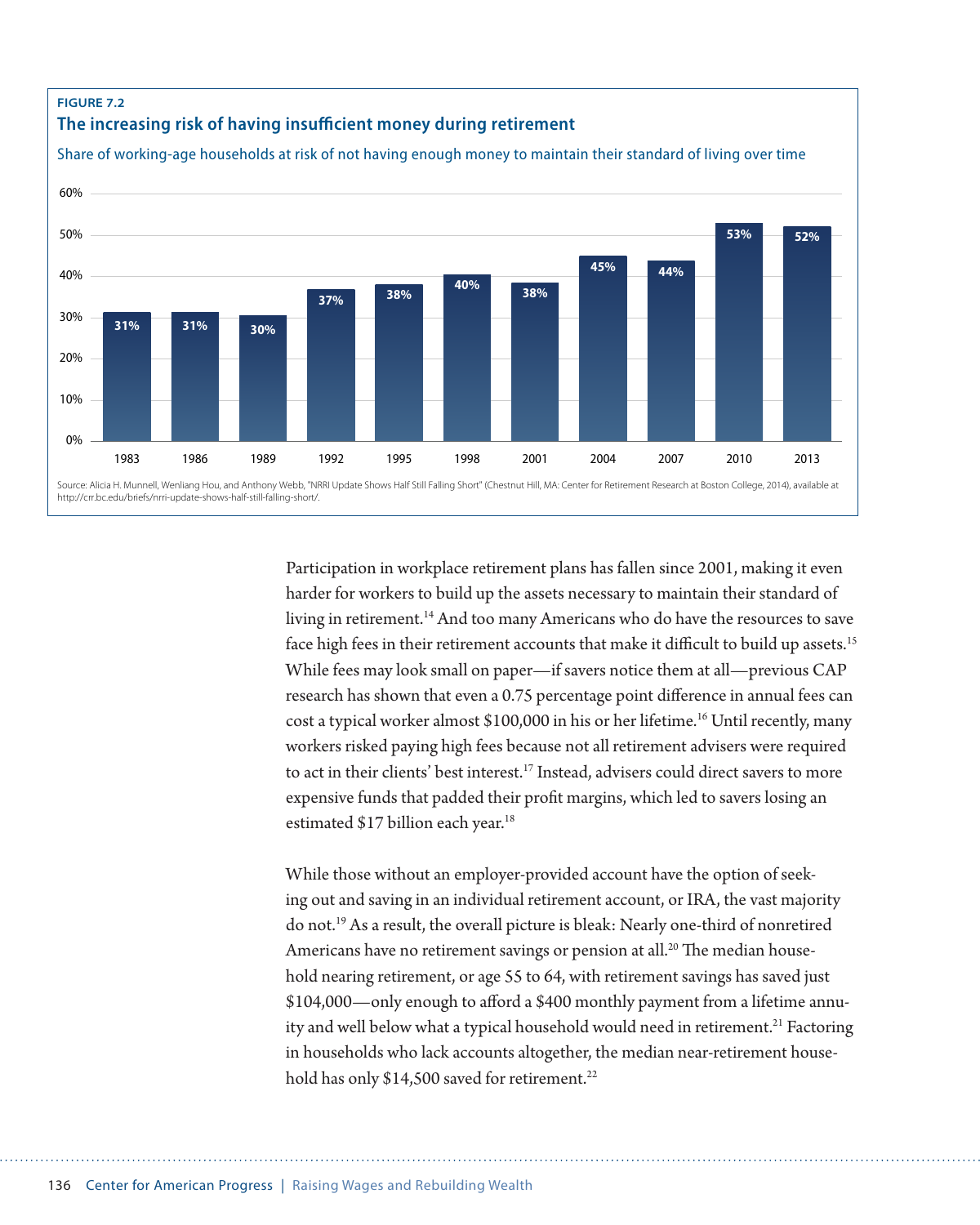

Participation in workplace retirement plans has fallen since 2001, making it even harder for workers to build up the assets necessary to maintain their standard of living in retirement.<sup>14</sup> And too many Americans who do have the resources to save face high fees in their retirement accounts that make it difficult to build up assets.<sup>15</sup> While fees may look small on paper—if savers notice them at all—previous CAP research has shown that even a 0.75 percentage point difference in annual fees can cost a typical worker almost \$100,000 in his or her lifetime.<sup>16</sup> Until recently, many workers risked paying high fees because not all retirement advisers were required to act in their clients' best interest.<sup>17</sup> Instead, advisers could direct savers to more expensive funds that padded their profit margins, which led to savers losing an estimated \$17 billion each year.<sup>18</sup>

While those without an employer-provided account have the option of seeking out and saving in an individual retirement account, or IRA, the vast majority do not.19 As a result, the overall picture is bleak: Nearly one-third of nonretired Americans have no retirement savings or pension at all.<sup>20</sup> The median household nearing retirement, or age 55 to 64, with retirement savings has saved just \$104,000—only enough to afford a \$400 monthly payment from a lifetime annuity and well below what a typical household would need in retirement.<sup>21</sup> Factoring in households who lack accounts altogether, the median near-retirement household has only \$14,500 saved for retirement.<sup>22</sup>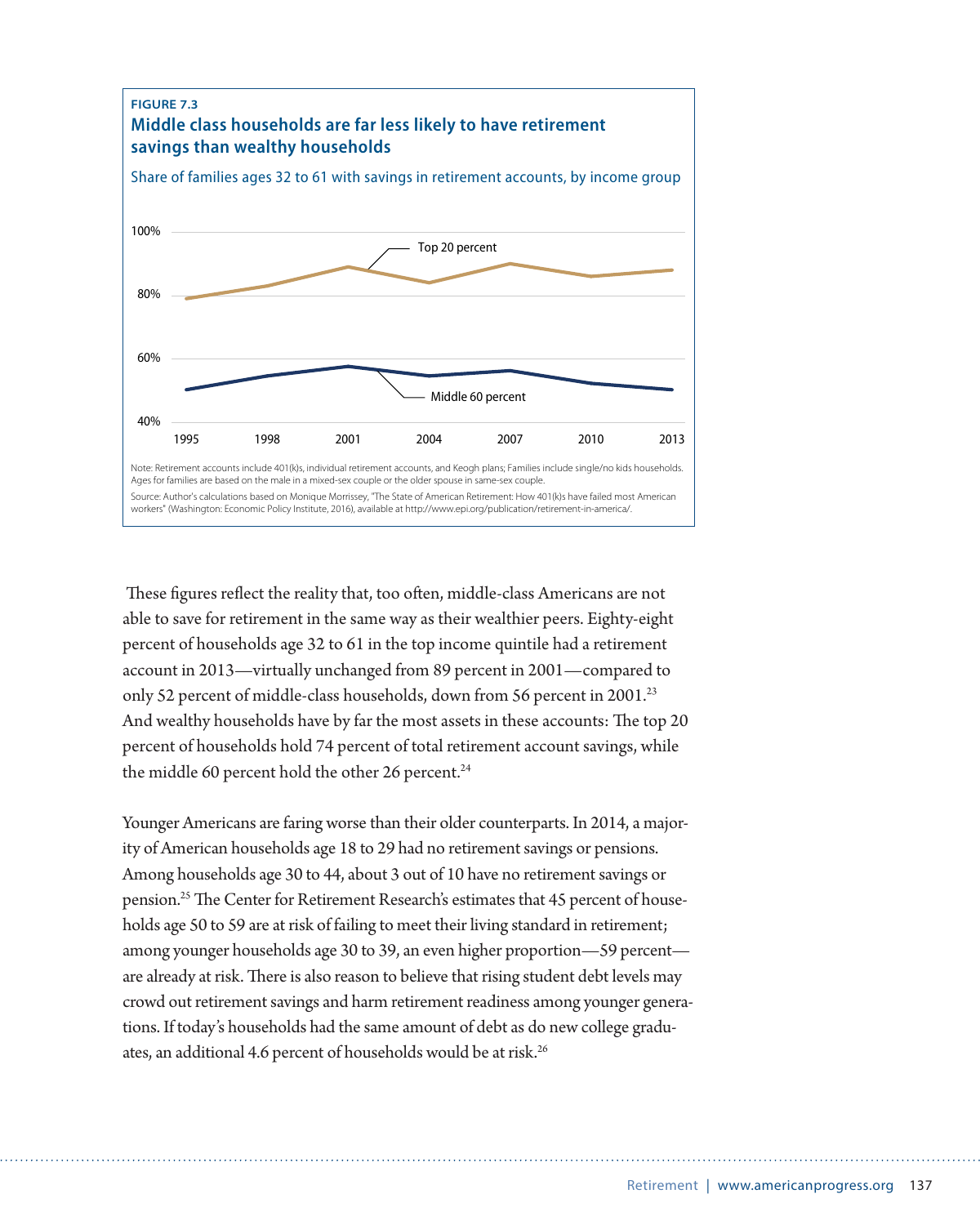

 These figures reflect the reality that, too often, middle-class Americans are not able to save for retirement in the same way as their wealthier peers. Eighty-eight percent of households age 32 to 61 in the top income quintile had a retirement account in 2013—virtually unchanged from 89 percent in 2001—compared to only 52 percent of middle-class households, down from 56 percent in 2001.<sup>23</sup> And wealthy households have by far the most assets in these accounts: The top 20 percent of households hold 74 percent of total retirement account savings, while the middle 60 percent hold the other 26 percent.<sup>24</sup>

Younger Americans are faring worse than their older counterparts. In 2014, a majority of American households age 18 to 29 had no retirement savings or pensions. Among households age 30 to 44, about 3 out of 10 have no retirement savings or pension.25 The Center for Retirement Research's estimates that 45 percent of households age 50 to 59 are at risk of failing to meet their living standard in retirement; among younger households age 30 to 39, an even higher proportion—59 percent are already at risk. There is also reason to believe that rising student debt levels may crowd out retirement savings and harm retirement readiness among younger generations. If today's households had the same amount of debt as do new college graduates, an additional 4.6 percent of households would be at risk.<sup>26</sup>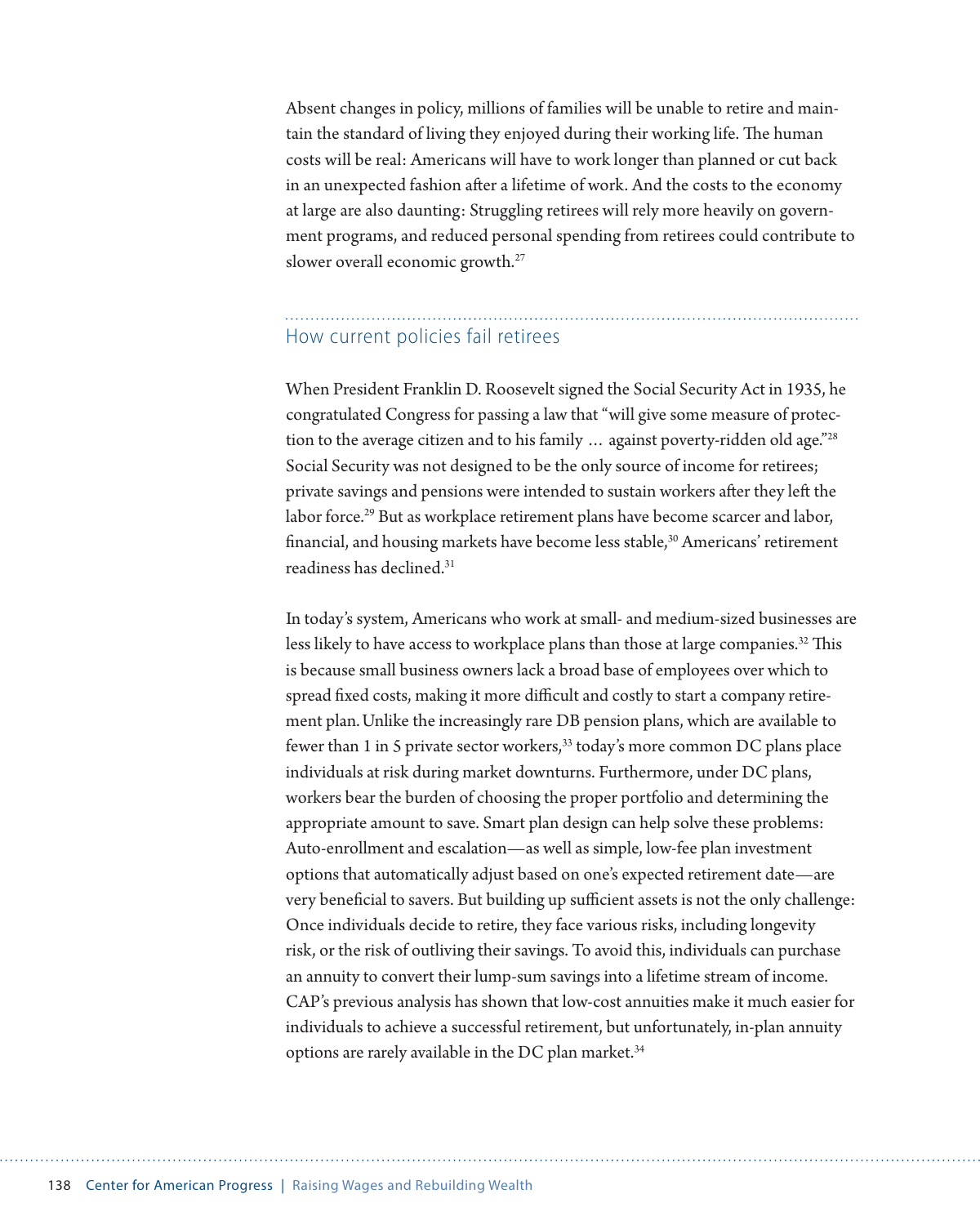Absent changes in policy, millions of families will be unable to retire and maintain the standard of living they enjoyed during their working life. The human costs will be real: Americans will have to work longer than planned or cut back in an unexpected fashion after a lifetime of work. And the costs to the economy at large are also daunting: Struggling retirees will rely more heavily on government programs, and reduced personal spending from retirees could contribute to slower overall economic growth.<sup>27</sup>

# How current policies fail retirees

When President Franklin D. Roosevelt signed the Social Security Act in 1935, he congratulated Congress for passing a law that "will give some measure of protection to the average citizen and to his family ... against poverty-ridden old age."<sup>28</sup> Social Security was not designed to be the only source of income for retirees; private savings and pensions were intended to sustain workers after they left the labor force.<sup>29</sup> But as workplace retirement plans have become scarcer and labor, financial, and housing markets have become less stable,<sup>30</sup> Americans' retirement readiness has declined.31

In today's system, Americans who work at small- and medium-sized businesses are less likely to have access to workplace plans than those at large companies.<sup>32</sup> This is because small business owners lack a broad base of employees over which to spread fixed costs, making it more difficult and costly to start a company retirement plan.Unlike the increasingly rare DB pension plans, which are available to fewer than 1 in 5 private sector workers,<sup>33</sup> today's more common DC plans place individuals at risk during market downturns. Furthermore, under DC plans, workers bear the burden of choosing the proper portfolio and determining the appropriate amount to save. Smart plan design can help solve these problems: Auto-enrollment and escalation—as well as simple, low-fee plan investment options that automatically adjust based on one's expected retirement date—are very beneficial to savers. But building up sufficient assets is not the only challenge: Once individuals decide to retire, they face various risks, including longevity risk, or the risk of outliving their savings. To avoid this, individuals can purchase an annuity to convert their lump-sum savings into a lifetime stream of income. CAP's previous analysis has shown that low-cost annuities make it much easier for individuals to achieve a successful retirement, but unfortunately, in-plan annuity options are rarely available in the DC plan market.<sup>34</sup>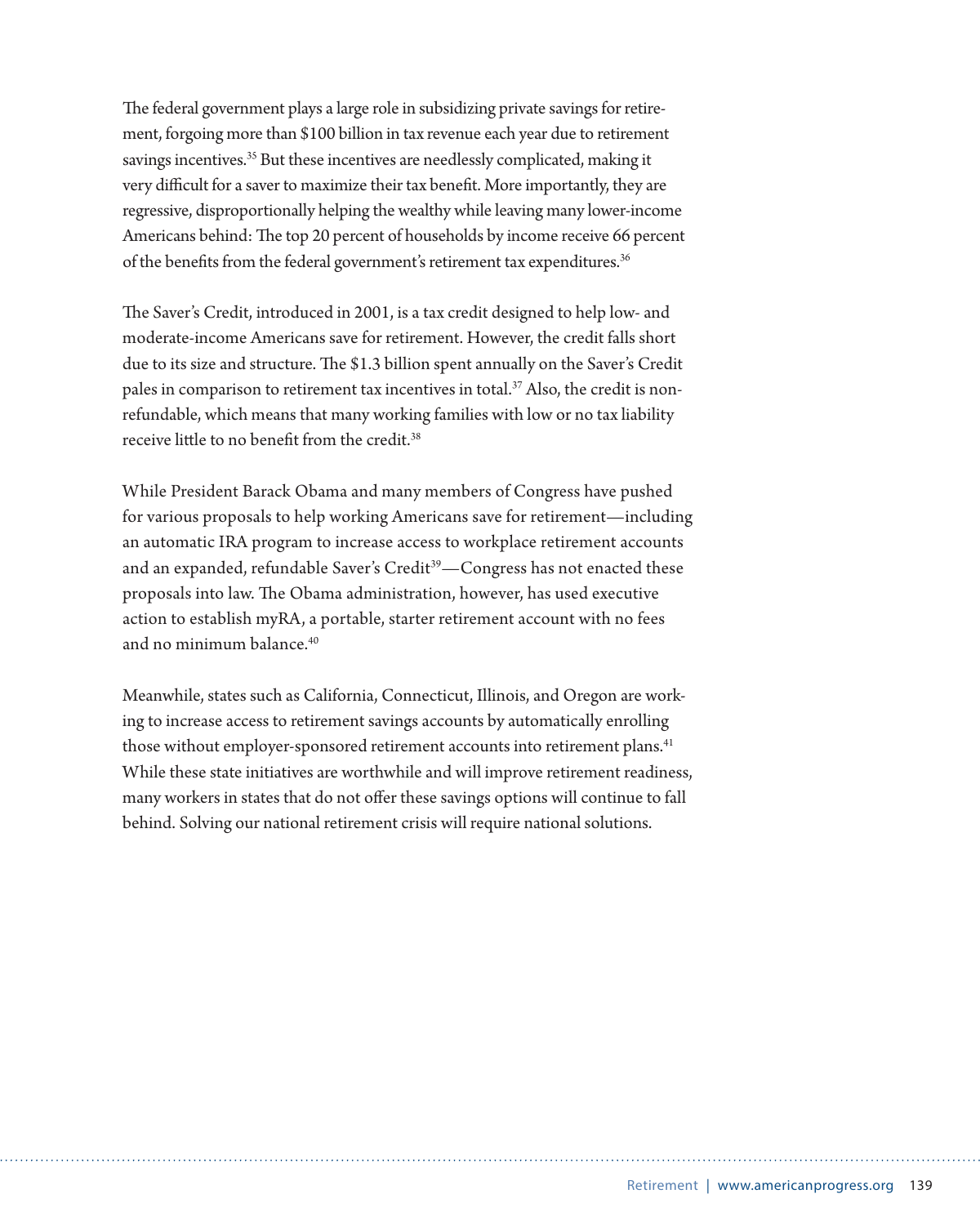The federal government plays a large role in subsidizing private savings for retirement, forgoing more than \$100 billion in tax revenue each year due to retirement savings incentives.<sup>35</sup> But these incentives are needlessly complicated, making it very difficult for a saver to maximize their tax benefit. More importantly, they are regressive, disproportionally helping the wealthy while leaving many lower-income Americans behind: The top 20 percent of households by income receive 66 percent of the benefits from the federal government's retirement tax expenditures.<sup>36</sup>

The Saver's Credit, introduced in 2001, is a tax credit designed to help low- and moderate-income Americans save for retirement. However, the credit falls short due to its size and structure. The \$1.3 billion spent annually on the Saver's Credit pales in comparison to retirement tax incentives in total.<sup>37</sup> Also, the credit is nonrefundable, which means that many working families with low or no tax liability receive little to no benefit from the credit.38

While President Barack Obama and many members of Congress have pushed for various proposals to help working Americans save for retirement—including an automatic IRA program to increase access to workplace retirement accounts and an expanded, refundable Saver's Credit<sup>39</sup>—Congress has not enacted these proposals into law. The Obama administration, however, has used executive action to establish myRA, a portable, starter retirement account with no fees and no minimum balance.40

Meanwhile, states such as California, Connecticut, Illinois, and Oregon are working to increase access to retirement savings accounts by automatically enrolling those without employer-sponsored retirement accounts into retirement plans.<sup>41</sup> While these state initiatives are worthwhile and will improve retirement readiness, many workers in states that do not offer these savings options will continue to fall behind. Solving our national retirement crisis will require national solutions.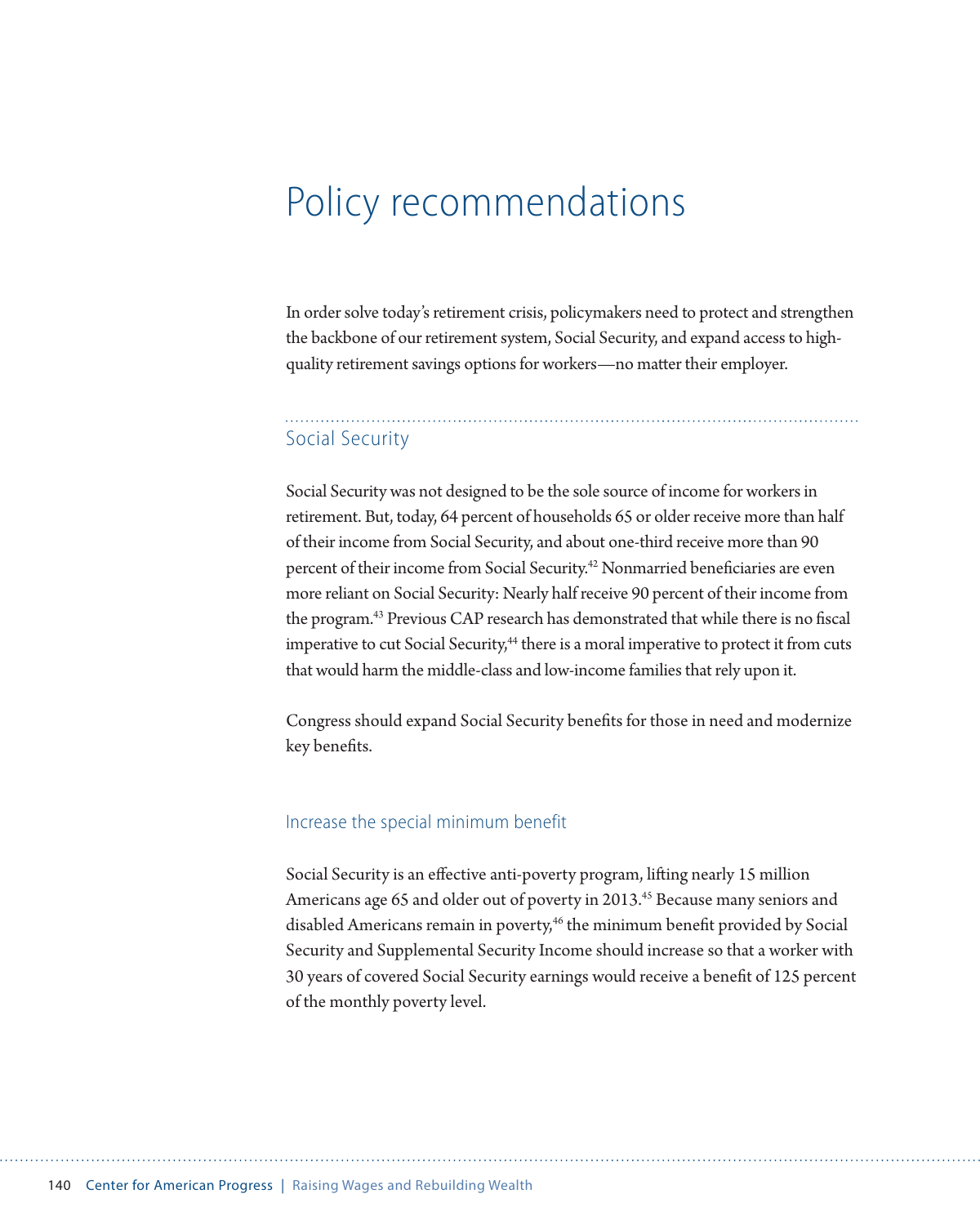# Policy recommendations

In order solve today's retirement crisis, policymakers need to protect and strengthen the backbone of our retirement system, Social Security, and expand access to highquality retirement savings options for workers—no matter their employer.

# Social Security

Social Security was not designed to be the sole source of income for workers in retirement. But, today, 64 percent of households 65 or older receive more than half of their income from Social Security, and about one-third receive more than 90 percent of their income from Social Security.42 Nonmarried beneficiaries are even more reliant on Social Security: Nearly half receive 90 percent of their income from the program.43 Previous CAP research has demonstrated that while there is no fiscal imperative to cut Social Security,<sup>44</sup> there is a moral imperative to protect it from cuts that would harm the middle-class and low-income families that rely upon it.

Congress should expand Social Security benefits for those in need and modernize key benefits.

#### Increase the special minimum benefit

Social Security is an effective anti-poverty program, lifting nearly 15 million Americans age 65 and older out of poverty in 2013.<sup>45</sup> Because many seniors and disabled Americans remain in poverty,<sup>46</sup> the minimum benefit provided by Social Security and Supplemental Security Income should increase so that a worker with 30 years of covered Social Security earnings would receive a benefit of 125 percent of the monthly poverty level.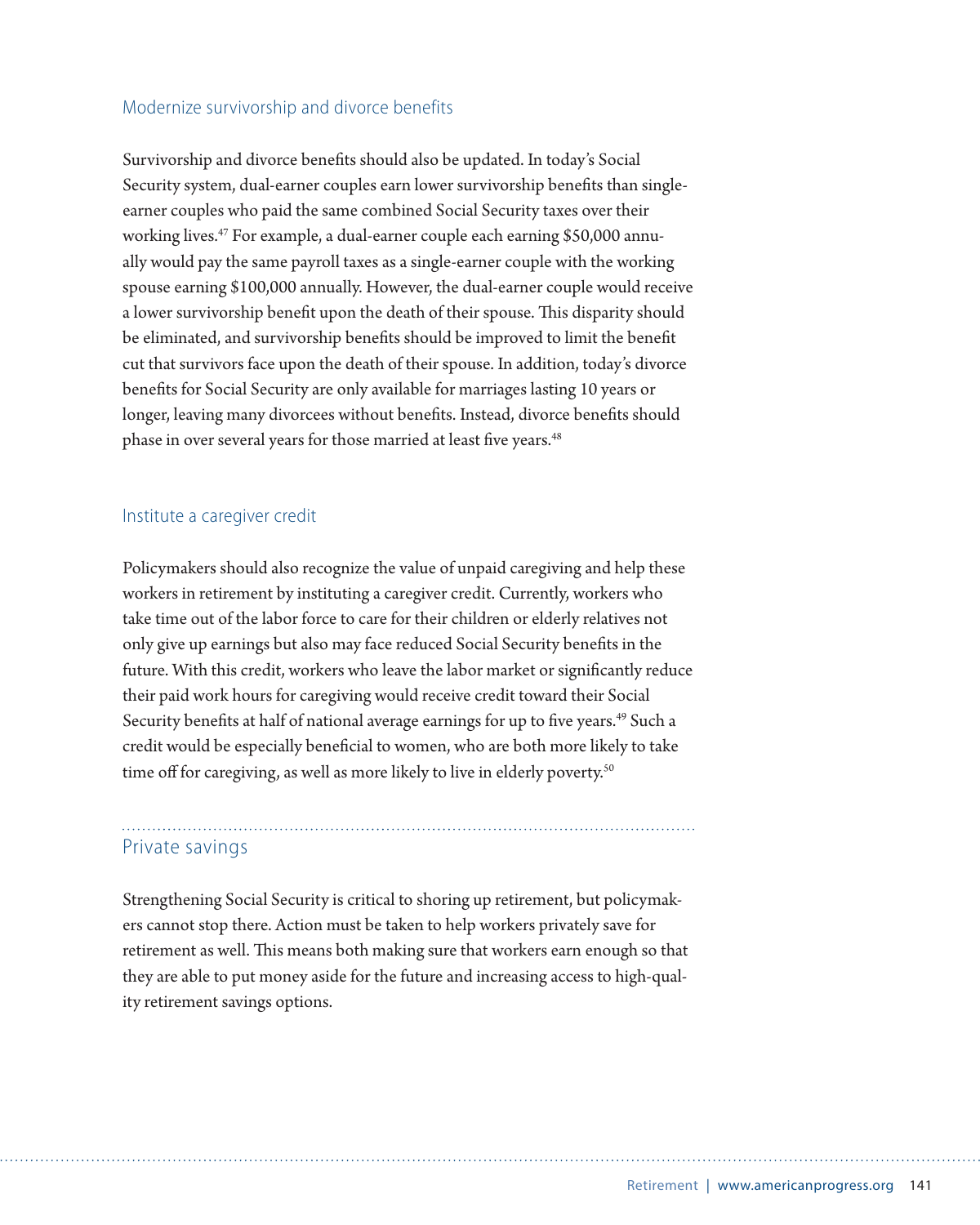#### Modernize survivorship and divorce benefits

Survivorship and divorce benefits should also be updated. In today's Social Security system, dual-earner couples earn lower survivorship benefits than singleearner couples who paid the same combined Social Security taxes over their working lives.47 For example, a dual-earner couple each earning \$50,000 annually would pay the same payroll taxes as a single-earner couple with the working spouse earning \$100,000 annually. However, the dual-earner couple would receive a lower survivorship benefit upon the death of their spouse. This disparity should be eliminated, and survivorship benefits should be improved to limit the benefit cut that survivors face upon the death of their spouse. In addition, today's divorce benefits for Social Security are only available for marriages lasting 10 years or longer, leaving many divorcees without benefits. Instead, divorce benefits should phase in over several years for those married at least five years.<sup>48</sup>

#### Institute a caregiver credit

Policymakers should also recognize the value of unpaid caregiving and help these workers in retirement by instituting a caregiver credit. Currently, workers who take time out of the labor force to care for their children or elderly relatives not only give up earnings but also may face reduced Social Security benefits in the future. With this credit, workers who leave the labor market or significantly reduce their paid work hours for caregiving would receive credit toward their Social Security benefits at half of national average earnings for up to five years.<sup>49</sup> Such a credit would be especially beneficial to women, who are both more likely to take time off for caregiving, as well as more likely to live in elderly poverty.<sup>50</sup>

## Private savings

Strengthening Social Security is critical to shoring up retirement, but policymakers cannot stop there. Action must be taken to help workers privately save for retirement as well. This means both making sure that workers earn enough so that they are able to put money aside for the future and increasing access to high-quality retirement savings options.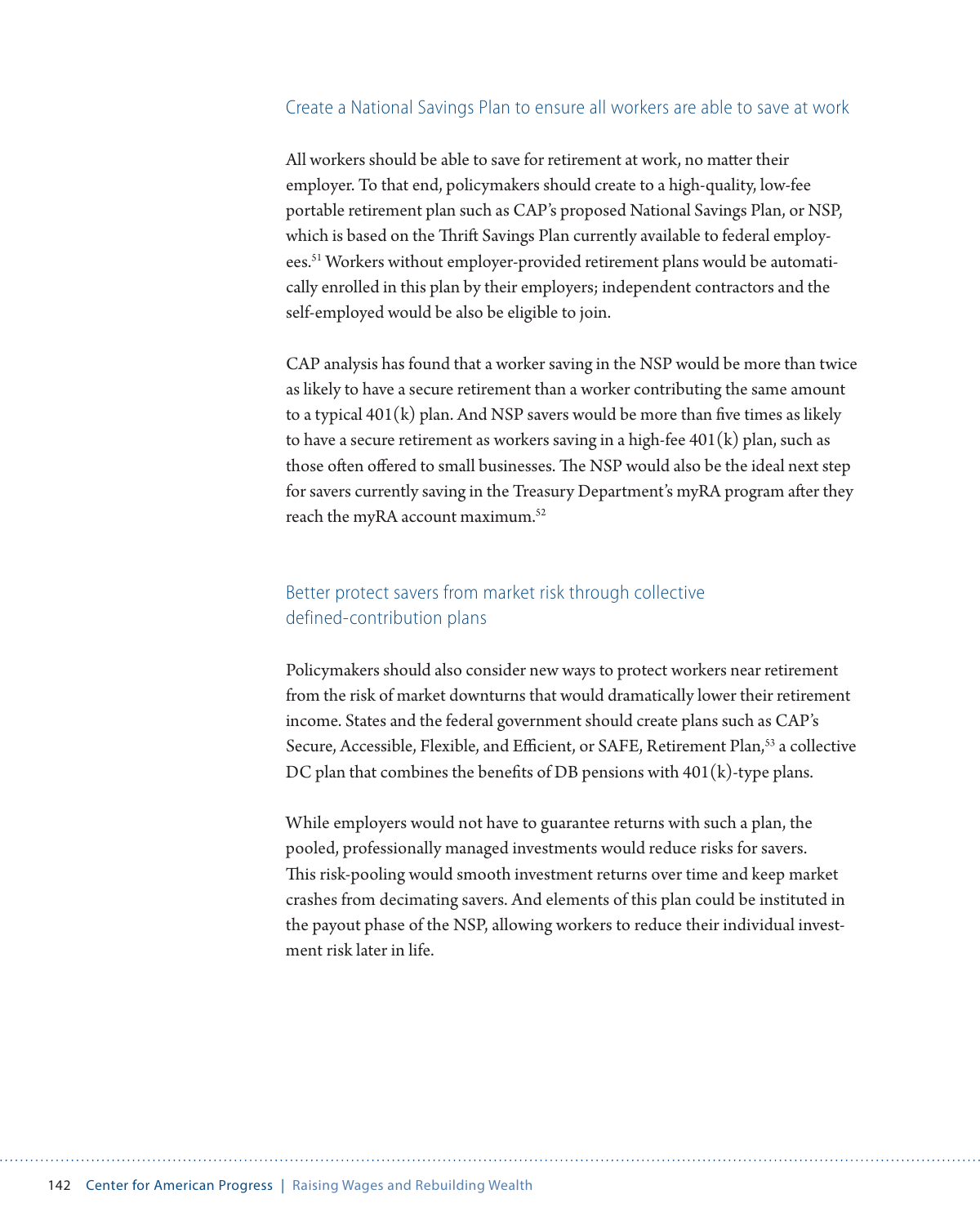#### Create a National Savings Plan to ensure all workers are able to save at work

All workers should be able to save for retirement at work, no matter their employer. To that end, policymakers should create to a high-quality, low-fee portable retirement plan such as CAP's proposed National Savings Plan, or NSP, which is based on the Thrift Savings Plan currently available to federal employees.51 Workers without employer-provided retirement plans would be automatically enrolled in this plan by their employers; independent contractors and the self-employed would be also be eligible to join.

CAP analysis has found that a worker saving in the NSP would be more than twice as likely to have a secure retirement than a worker contributing the same amount to a typical  $401(k)$  plan. And NSP savers would be more than five times as likely to have a secure retirement as workers saving in a high-fee  $401(k)$  plan, such as those often offered to small businesses. The NSP would also be the ideal next step for savers currently saving in the Treasury Department's myRA program after they reach the myRA account maximum.<sup>52</sup>

### Better protect savers from market risk through collective defined-contribution plans

Policymakers should also consider new ways to protect workers near retirement from the risk of market downturns that would dramatically lower their retirement income. States and the federal government should create plans such as CAP's Secure, Accessible, Flexible, and Efficient, or SAFE, Retirement Plan,<sup>53</sup> a collective DC plan that combines the benefits of DB pensions with 401(k)-type plans.

While employers would not have to guarantee returns with such a plan, the pooled, professionally managed investments would reduce risks for savers. This risk-pooling would smooth investment returns over time and keep market crashes from decimating savers. And elements of this plan could be instituted in the payout phase of the NSP, allowing workers to reduce their individual investment risk later in life.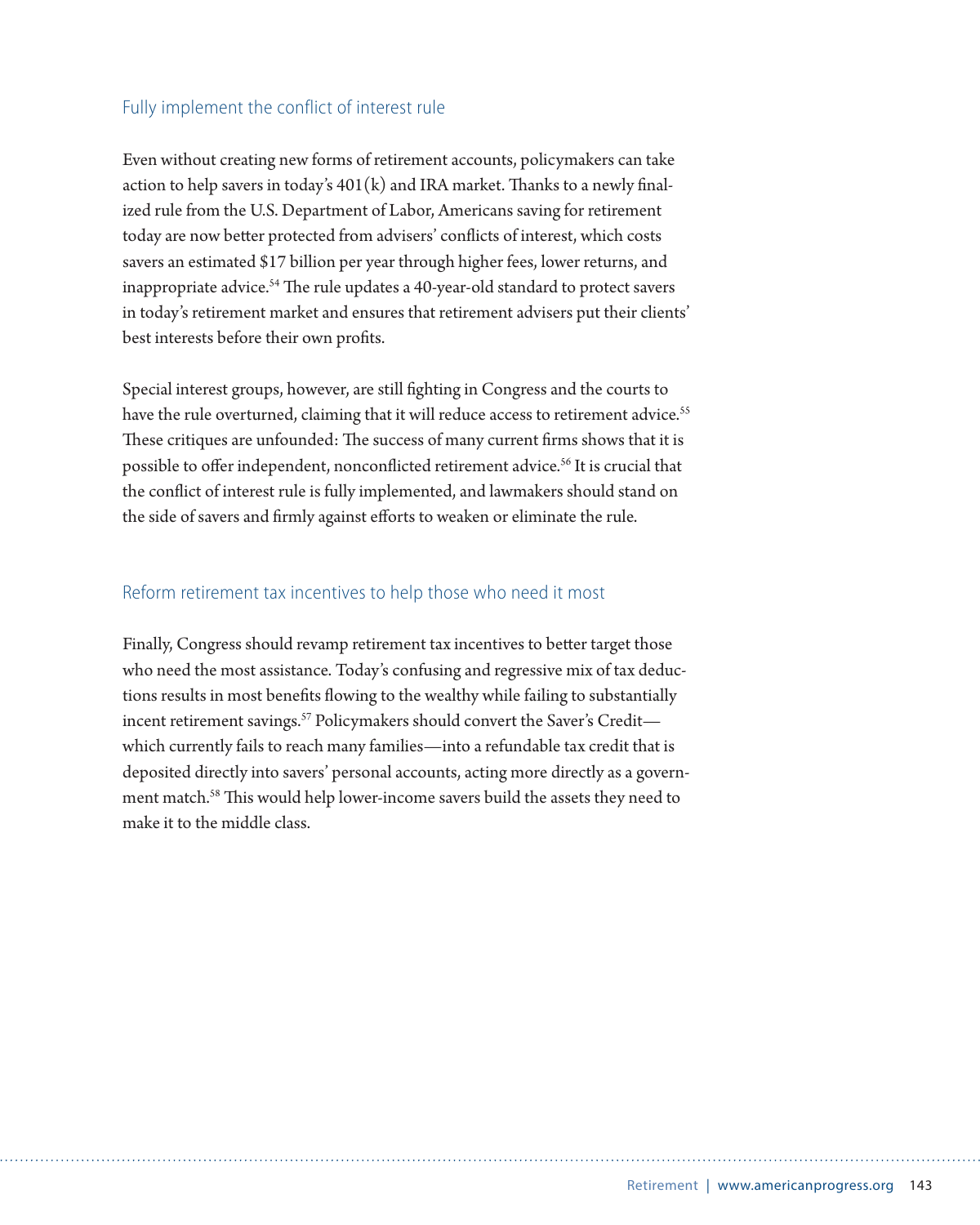### Fully implement the conflict of interest rule

Even without creating new forms of retirement accounts, policymakers can take action to help savers in today's  $401(k)$  and IRA market. Thanks to a newly finalized rule from the U.S. Department of Labor, Americans saving for retirement today are now better protected from advisers' conflicts of interest, which costs savers an estimated \$17 billion per year through higher fees, lower returns, and inappropriate advice.<sup>54</sup> The rule updates a 40-year-old standard to protect savers in today's retirement market and ensures that retirement advisers put their clients' best interests before their own profits.

Special interest groups, however, are still fighting in Congress and the courts to have the rule overturned, claiming that it will reduce access to retirement advice.<sup>55</sup> These critiques are unfounded: The success of many current firms shows that it is possible to offer independent, nonconflicted retirement advice.<sup>56</sup> It is crucial that the conflict of interest rule is fully implemented, and lawmakers should stand on the side of savers and firmly against efforts to weaken or eliminate the rule.

#### Reform retirement tax incentives to help those who need it most

Finally, Congress should revamp retirement tax incentives to better target those who need the most assistance. Today's confusing and regressive mix of tax deductions results in most benefits flowing to the wealthy while failing to substantially incent retirement savings.<sup>57</sup> Policymakers should convert the Saver's Creditwhich currently fails to reach many families—into a refundable tax credit that is deposited directly into savers' personal accounts, acting more directly as a government match.58 This would help lower-income savers build the assets they need to make it to the middle class.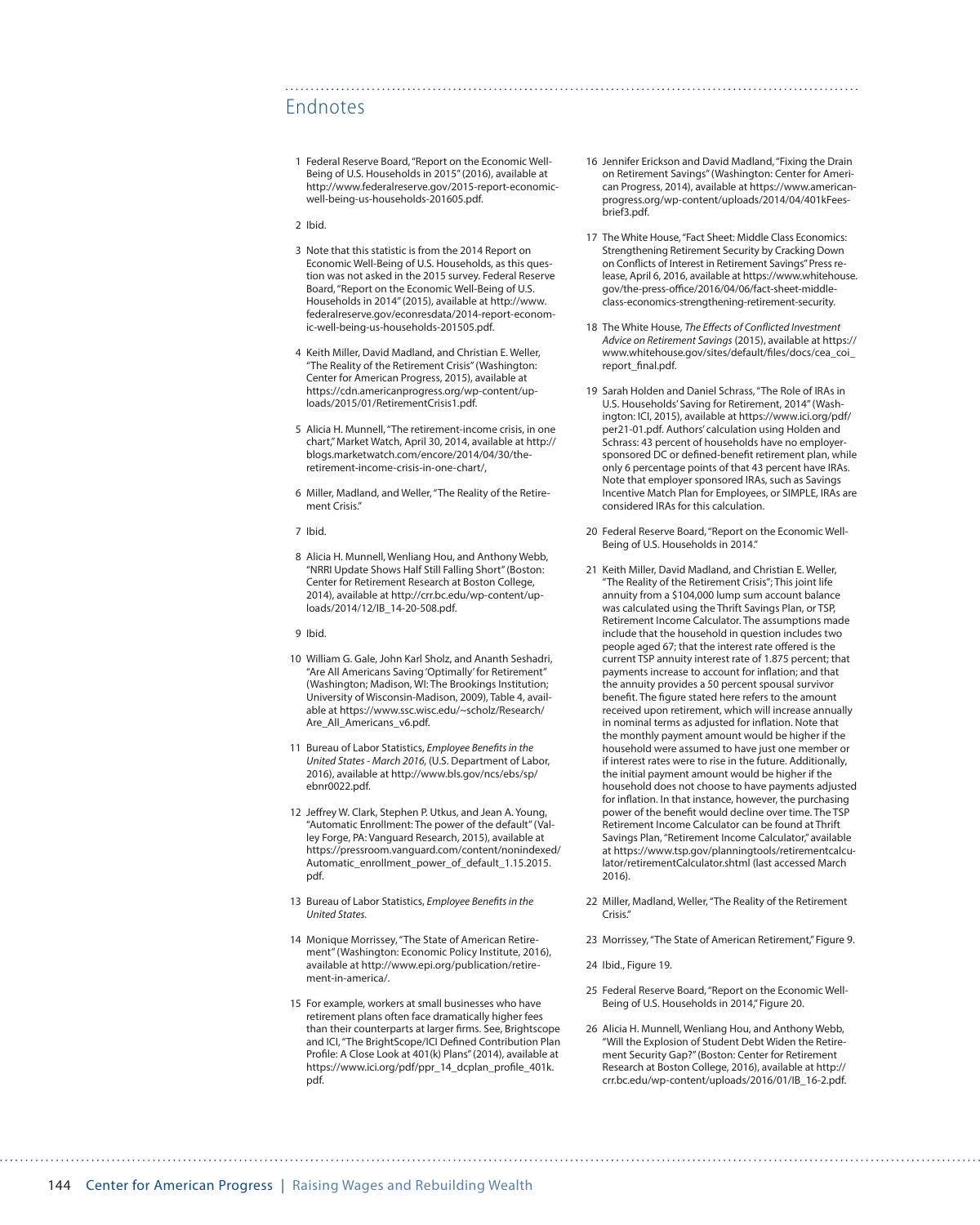### Endnotes

- 1 Federal Reserve Board, "Report on the Economic Well-Being of U.S. Households in 2015" (2016), available at http://www.federalreserve.gov/2015-report-economicwell-being-us-households-201605.pdf.
- 2 Ibid.
- 3 Note that this statistic is from the 2014 Report on Economic Well-Being of U.S. Households, as this question was not asked in the 2015 survey. Federal Reserve Board, "Report on the Economic Well-Being of U.S. Households in 2014" (2015), available at [http://www.](http://www.federalreserve.gov/econresdata/2014-report-economic-well-being-us-households-201505.pdf) [federalreserve.gov/econresdata/2014-report-econom](http://www.federalreserve.gov/econresdata/2014-report-economic-well-being-us-households-201505.pdf)[ic-well-being-us-households-201505.pdf](http://www.federalreserve.gov/econresdata/2014-report-economic-well-being-us-households-201505.pdf).
- 4 Keith Miller, David Madland, and Christian E. Weller, "The Reality of the Retirement Crisis" (Washington: Center for American Progress, 2015), available at [https://cdn.americanprogress.org/wp-content/up](https://cdn.americanprogress.org/wp-content/uploads/2015/01/RetirementCrisis1.pdf)[loads/2015/01/RetirementCrisis1.pdf](https://cdn.americanprogress.org/wp-content/uploads/2015/01/RetirementCrisis1.pdf).
- 5 Alicia H. Munnell, "The retirement-income crisis, in one chart," Market Watch, April 30, 2014, available at http:// blogs.marketwatch.com/encore/2014/04/30/theretirement-income-crisis-in-one-chart/,
- 6 Miller, Madland, and Weller, "The Reality of the Retirement Crisis."
- 7 Ibid.
- 8 Alicia H. Munnell, Wenliang Hou, and Anthony Webb, "NRRI Update Shows Half Still Falling Short" (Boston: Center for Retirement Research at Boston College, 2014), available at http://crr.bc.edu/wp-content/uploads/2014/12/IB\_14-20-508.pdf.
- 9 Ibid.
- 10 William G. Gale, John Karl Sholz, and Ananth Seshadri, "Are All Americans Saving 'Optimally' for Retirement" (Washington; Madison, WI: The Brookings Institution; University of Wisconsin-Madison, 2009), Table 4, available at https://www.ssc.wisc.edu/~scholz/Research/ Are\_All\_Americans\_v6.pdf.
- 11 Bureau of Labor Statistics, *Employee Benefits in the United States - March 2016,* (U.S. Department of Labor, 2016), available at http://www.bls.gov/ncs/ebs/sp/ ebnr0022.pdf.
- 12 Jeffrey W. Clark, Stephen P. Utkus, and Jean A. Young, "Automatic Enrollment: The power of the default" (Valley Forge, PA: Vanguard Research, 2015), available at [https://pressroom.vanguard.com/content/nonindexed/](https://pressroom.vanguard.com/content/nonindexed/Automatic_enrollment_power_of_default_1.15.2015.pdf) [Automatic\\_enrollment\\_power\\_of\\_default\\_1.15.2015.](https://pressroom.vanguard.com/content/nonindexed/Automatic_enrollment_power_of_default_1.15.2015.pdf) [pdf](https://pressroom.vanguard.com/content/nonindexed/Automatic_enrollment_power_of_default_1.15.2015.pdf).
- 13 Bureau of Labor Statistics, *Employee Benefits in the United States.*
- 14 Monique Morrissey, "The State of American Retirement" (Washington: Economic Policy Institute, 2016), available at [http://www.epi.org/publication/retire](http://www.epi.org/publication/retirement-in-america/)[ment-in-america/.](http://www.epi.org/publication/retirement-in-america/)
- 15 For example, workers at small businesses who have retirement plans often face dramatically higher fees than their counterparts at larger firms. See, Brightscope and ICI, "The BrightScope/ICI Defined Contribution Plan Profile: A Close Look at 401(k) Plans" (2014), available at https://www.ici.org/pdf/ppr\_14\_dcplan\_profile\_401k. pdf.

16 Jennifer Erickson and David Madland, "Fixing the Drain on Retirement Savings" (Washington: Center for American Progress, 2014), available at https://www.americanprogress.org/wp-content/uploads/2014/04/401kFeesbrief3.pdf.

- 17 The White House, "Fact Sheet: Middle Class Economics: Strengthening Retirement Security by Cracking Down on Conflicts of Interest in Retirement Savings" Press release, April 6, 2016, available at https://www.whitehouse. gov/the-press-office/2016/04/06/fact-sheet-middleclass-economics-strengthening-retirement-security.
- 18 The White House, *The Effects of Conflicted Investment Advice on Retirement Savings* (2015), available at https:// www.whitehouse.gov/sites/default/files/docs/cea\_coi report\_final.pdf.
- 19 Sarah Holden and Daniel Schrass, "The Role of IRAs in U.S. Households' Saving for Retirement, 2014" (Washington: ICI, 2015), available at [https://www.ici.org/pdf/](https://www.ici.org/pdf/per21-01.pdf) [per21-01.pdf.](https://www.ici.org/pdf/per21-01.pdf) Authors' calculation using Holden and Schrass: 43 percent of households have no employersponsored DC or defined-benefit retirement plan, while only 6 percentage points of that 43 percent have IRAs. Note that employer sponsored IRAs, such as Savings Incentive Match Plan for Employees, or SIMPLE, IRAs are considered IRAs for this calculation.
- 20 Federal Reserve Board, "Report on the Economic Well-Being of U.S. Households in 2014."
- 21 Keith Miller, David Madland, and Christian E. Weller, "The Reality of the Retirement Crisis"; This joint life annuity from a \$104,000 lump sum account balance was calculated using the Thrift Savings Plan, or TSP, Retirement Income Calculator. The assumptions made include that the household in question includes two people aged 67; that the interest rate offered is the current TSP annuity interest rate of 1.875 percent; that payments increase to account for inflation; and that the annuity provides a 50 percent spousal survivor benefit. The figure stated here refers to the amount received upon retirement, which will increase annually in nominal terms as adjusted for inflation. Note that the monthly payment amount would be higher if the household were assumed to have just one member or if interest rates were to rise in the future. Additionally, the initial payment amount would be higher if the household does not choose to have payments adjusted for inflation. In that instance, however, the purchasing power of the benefit would decline over time. The TSP Retirement Income Calculator can be found at Thrift Savings Plan, "Retirement Income Calculator," available at [https://www.tsp.gov/planningtools/retirementcalcu](https://www.tsp.gov/planningtools/retirementcalculator/retirementCalculator.shtml)[lator/retirementCalculator.shtml](https://www.tsp.gov/planningtools/retirementcalculator/retirementCalculator.shtml) (last accessed March 2016).
- 22 Miller, Madland, Weller, "The Reality of the Retirement Crisis.
- 23 Morrissey, "The State of American Retirement," Figure 9.
- 24 Ibid., Figure 19.
- 25 Federal Reserve Board, "Report on the Economic Well-Being of U.S. Households in 2014," Figure 20.
- 26 Alicia H. Munnell, Wenliang Hou, and Anthony Webb, "Will the Explosion of Student Debt Widen the Retirement Security Gap?" (Boston: Center for Retirement Research at Boston College, 2016), available at [http://](http://crr.bc.edu/wp-content/uploads/2016/01/IB_16-2.pdf) [crr.bc.edu/wp-content/uploads/2016/01/IB\\_16-2.pdf](http://crr.bc.edu/wp-content/uploads/2016/01/IB_16-2.pdf).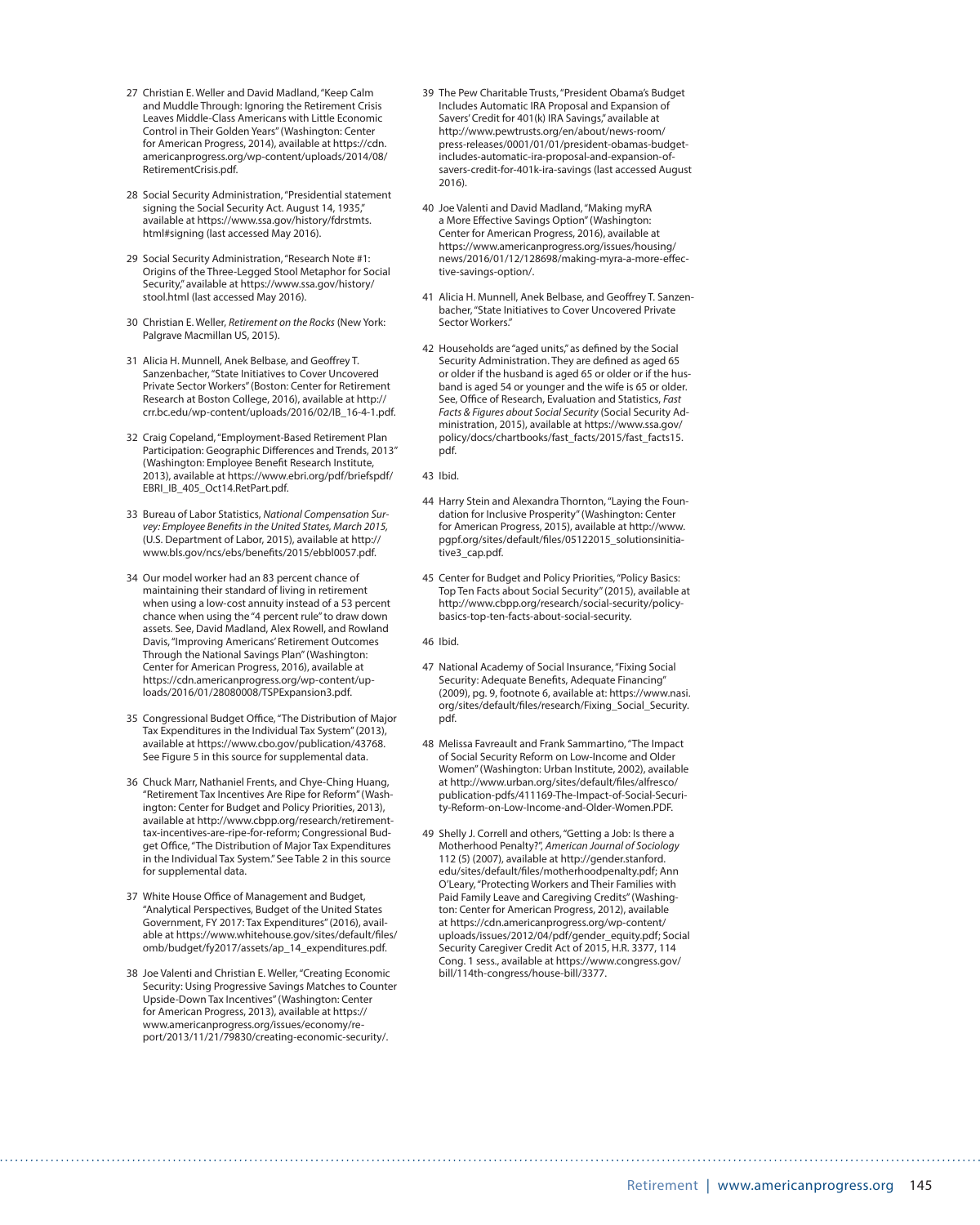- 27 Christian E. Weller and David Madland, "Keep Calm and Muddle Through: Ignoring the Retirement Crisis Leaves Middle-Class Americans with Little Economic Control in Their Golden Years" (Washington: Center for American Progress, 2014), available at https://cdn. americanprogress.org/wp-content/uploads/2014/08/ RetirementCrisis.pdf.
- 28 Social Security Administration, "Presidential statement signing the Social Security Act. August 14, 1935," available at https://www.ssa.gov/history/fdrstmts. html#signing (last accessed May 2016).
- 29 Social Security Administration, "Research Note #1: Origins of the Three-Legged Stool Metaphor for Social Security," available at [https://www.ssa.gov/history/](https://www.ssa.gov/history/stool.html) [stool.html](https://www.ssa.gov/history/stool.html) (last accessed May 2016).
- 30 Christian E. Weller, *Retirement on the Rocks* (New York: Palgrave Macmillan US, 2015).
- 31 Alicia H. Munnell, Anek Belbase, and Geoffrey T. Sanzenbacher, "State Initiatives to Cover Uncovered Private Sector Workers" (Boston: Center for Retirement Research at Boston College, 2016), available at http:// crr.bc.edu/wp-content/uploads/2016/02/IB\_16-4-1.pdf.
- 32 Craig Copeland, "Employment-Based Retirement Plan Participation: Geographic Differences and Trends, 2013" (Washington: Employee Benefit Research Institute, 2013), available at https://www.ebri.org/pdf/briefspdf/ EBRI\_IB\_405\_Oct14.RetPart.pdf.
- 33 Bureau of Labor Statistics, *National Compensation Survey: Employee Benefits in the United States, March 2015,*  (U.S. Department of Labor, 2015), available at [http://](http://www.bls.gov/ncs/ebs/benefits/2015/ebbl0057.pdf) [www.bls.gov/ncs/ebs/benefits/2015/ebbl0057.pdf.](http://www.bls.gov/ncs/ebs/benefits/2015/ebbl0057.pdf)
- 34 Our model worker had an 83 percent chance of maintaining their standard of living in retirement when using a low-cost annuity instead of a 53 percent chance when using the "4 percent rule" to draw down assets. See, David Madland, Alex Rowell, and Rowland Davis, "Improving Americans' Retirement Outcomes Through the National Savings Plan" (Washington: Center for American Progress, 2016), available at [https://cdn.americanprogress.org/wp-content/up](https://cdn.americanprogress.org/wp-content/uploads/2016/01/28080008/TSPExpansion3.pdf)[loads/2016/01/28080008/TSPExpansion3.pdf.](https://cdn.americanprogress.org/wp-content/uploads/2016/01/28080008/TSPExpansion3.pdf)
- 35 Congressional Budget Office, "The Distribution of Major Tax Expenditures in the Individual Tax System" (2013), available at https://www.cbo.gov/publication/43768. See Figure 5 in this source for supplemental data.
- 36 Chuck Marr, Nathaniel Frents, and Chye-Ching Huang, "Retirement Tax Incentives Are Ripe for Reform" (Washington: Center for Budget and Policy Priorities, 2013), available at [http://www.cbpp.org/research/retirement](http://www.cbpp.org/research/retirement-tax-incentives-are-ripe-for-reform)[tax-incentives-are-ripe-for-reform;](http://www.cbpp.org/research/retirement-tax-incentives-are-ripe-for-reform) Congressional Budget Office, "The Distribution of Major Tax Expenditures in the Individual Tax System." See Table 2 in this source for supplemental data.
- 37 White House Office of Management and Budget, "Analytical Perspectives, Budget of the United States Government, FY 2017: Tax Expenditures" (2016), available at https://www.whitehouse.gov/sites/default/files/ omb/budget/fy2017/assets/ap\_14\_expenditures.pdf.
- 38 Joe Valenti and Christian E. Weller, "Creating Economic Security: Using Progressive Savings Matches to Counter Upside-Down Tax Incentives" (Washington: Center for American Progress, 2013), available at [https://](https://www.americanprogress.org/issues/economy/report/2013/11/21/79830/creating-economic-security/) [www.americanprogress.org/issues/economy/re](https://www.americanprogress.org/issues/economy/report/2013/11/21/79830/creating-economic-security/)[port/2013/11/21/79830/creating-economic-security/.](https://www.americanprogress.org/issues/economy/report/2013/11/21/79830/creating-economic-security/)
- 39 The Pew Charitable Trusts, "President Obama's Budget Includes Automatic IRA Proposal and Expansion of Savers' Credit for 401(k) IRA Savings," available at [http://www.pewtrusts.org/en/about/news-room/](http://www.pewtrusts.org/en/about/news-room/press-releases/0001/01/01/president-obamas-budget-includes-automatic-ira-proposal-and-expansion-of-savers-credit-for-401k-ira-savings) [press-releases/0001/01/01/president-obamas-budget](http://www.pewtrusts.org/en/about/news-room/press-releases/0001/01/01/president-obamas-budget-includes-automatic-ira-proposal-and-expansion-of-savers-credit-for-401k-ira-savings)[includes-automatic-ira-proposal-and-expansion-of](http://www.pewtrusts.org/en/about/news-room/press-releases/0001/01/01/president-obamas-budget-includes-automatic-ira-proposal-and-expansion-of-savers-credit-for-401k-ira-savings)[savers-credit-for-401k-ira-savings](http://www.pewtrusts.org/en/about/news-room/press-releases/0001/01/01/president-obamas-budget-includes-automatic-ira-proposal-and-expansion-of-savers-credit-for-401k-ira-savings) (last accessed August 2016).
- 40 Joe Valenti and David Madland, "Making myRA a More Effective Savings Option" (Washington: Center for American Progress, 2016), available at [https://www.americanprogress.org/issues/housing/](https://www.americanprogress.org/issues/housing/news/2016/01/12/128698/making-myra-a-more-effective-savings-option/) [news/2016/01/12/128698/making-myra-a-more-effec](https://www.americanprogress.org/issues/housing/news/2016/01/12/128698/making-myra-a-more-effective-savings-option/)[tive-savings-option/.](https://www.americanprogress.org/issues/housing/news/2016/01/12/128698/making-myra-a-more-effective-savings-option/)
- 41 Alicia H. Munnell, Anek Belbase, and Geoffrey T. Sanzenbacher, "State Initiatives to Cover Uncovered Private Sector Workers."
- 42 Households are "aged units," as defined by the Social Security Administration. They are defined as aged 65 or older if the husband is aged 65 or older or if the husband is aged 54 or younger and the wife is 65 or older. See, Office of Research, Evaluation and Statistics, *Fast Facts & Figures about Social Security* (Social Security Administration, 2015), available at https://www.ssa.gov/ policy/docs/chartbooks/fast\_facts/2015/fast\_facts15. pdf.

43 Ibid.

- 44 Harry Stein and Alexandra Thornton, "Laying the Foundation for Inclusive Prosperity" (Washington: Center for American Progress, 2015), available at http://www. pgpf.org/sites/default/files/05122015\_solutionsinitiative3\_cap.pdf.
- 45 Center for Budget and Policy Priorities, "Policy Basics: Top Ten Facts about Social Security" (2015), available at [http://www.cbpp.org/research/social-security/policy](http://www.cbpp.org/research/social-security/policy-basics-top-ten-facts-about-social-security)[basics-top-ten-facts-about-social-security.](http://www.cbpp.org/research/social-security/policy-basics-top-ten-facts-about-social-security)

46 Ibid.

- 47 National Academy of Social Insurance, "Fixing Social Security: Adequate Benefits, Adequate Financing" (2009), pg. 9, footnote 6, available at: [https://www.nasi.](https://www.nasi.org/sites/default/files/research/Fixing_Social_Security.pdf) [org/sites/default/files/research/Fixing\\_Social\\_Security.](https://www.nasi.org/sites/default/files/research/Fixing_Social_Security.pdf) [pdf](https://www.nasi.org/sites/default/files/research/Fixing_Social_Security.pdf).
- 48 Melissa Favreault and Frank Sammartino, "The Impact of Social Security Reform on Low-Income and Older Women" (Washington: Urban Institute, 2002), available at [http://www.urban.org/sites/default/files/alfresco/](http://www.urban.org/sites/default/files/alfresco/publication-pdfs/411169-The-Impact-of-Social-Security-Reform-on-Low-Income-and-Older-Women.PDF) [publication-pdfs/411169-The-Impact-of-Social-Securi](http://www.urban.org/sites/default/files/alfresco/publication-pdfs/411169-The-Impact-of-Social-Security-Reform-on-Low-Income-and-Older-Women.PDF)[ty-Reform-on-Low-Income-and-Older-Women.PDF](http://www.urban.org/sites/default/files/alfresco/publication-pdfs/411169-The-Impact-of-Social-Security-Reform-on-Low-Income-and-Older-Women.PDF).
- 49 Shelly J. Correll and others, "Getting a Job: Is there a Motherhood Penalty?", *American Journal of Sociology* 112 (5) (2007), available at http://gender.stanford. edu/sites/default/files/motherhoodpenalty.pdf; Ann O'Leary, "Protecting Workers and Their Families with Paid Family Leave and Caregiving Credits" (Washington: Center for American Progress, 2012), available at [https://cdn.americanprogress.org/wp-content/](https://cdn.americanprogress.org/wp-content/uploads/issues/2012/04/pdf/gender_equity.pdf) [uploads/issues/2012/04/pdf/gender\\_equity.pdf;](https://cdn.americanprogress.org/wp-content/uploads/issues/2012/04/pdf/gender_equity.pdf) Social Security Caregiver Credit Act of 2015, H.R. 3377, 114 Cong. 1 sess., available at [https://www.congress.gov/](https://www.congress.gov/bill/114th-congress/house-bill/3377) [bill/114th-congress/house-bill/3377](https://www.congress.gov/bill/114th-congress/house-bill/3377).